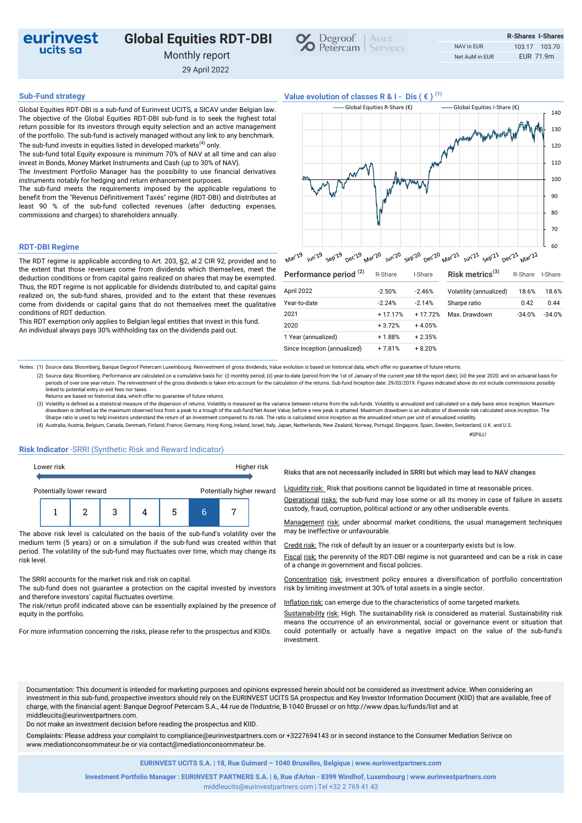# eurinvest ucits sa

# **Global Equities RDT-DBI**

Monthly report

29 April 2022



## **Sub-Fund strategy Value evolution of classes R & I - Dis ( € ) (1)**

Global Equities RDT-DBI is a sub-fund of Eurinvest UCITS, a SICAV under Belgian law. The objective of the Global Equities RDT-DBI sub-fund is to seek the highest total return possible for its investors through equity selection and an active management of the portfolio. The sub-fund is actively managed without any link to any benchmark. The sub-fund invests in equities listed in developed markets<sup>(4)</sup> only.

The sub-fund total Equity exposure is minimum 70% of NAV at all time and can also invest in Bonds, Money Market Instruments and Cash (up to 30% of NAV).

The Investment Portfolio Manager has the possibility to use financial derivatives instruments notably for hedging and return enhancement purposes.

The sub-fund meets the requirements imposed by the applicable regulations to benefit from the "Revenus Définitivement Taxés" regime (RDT-DBI) and distributes at least 90 % of the sub-fund collected revenues (after deducting expenses, commissions and charges) to shareholders annually.

### **RDT-DBI Regime**

The RDT regime is applicable according to Art. 203, §2, al.2 CIR 92, provided and to the extent that those revenues come from dividends which themselves, meet the deduction conditions or from capital gains realized on shares that may be exempted. Thus, the RDT regime is not applicable for dividends distributed to, and capital gains realized on, the sub-fund shares, provided and to the extent that these revenues come from dividends or capital gains that do not themselves meet the qualitative conditions of RDT deduction.

This RDT exemption only applies to Belgian legal entities that invest in this fund. An individual always pays 30% withholding tax on the dividends paid out.

| -Global Equities R-Share (€) | Global Equities I-Share (€)   |
|------------------------------|-------------------------------|
|                              | and more to more work that he |
|                              |                               |
|                              |                               |
| M                            |                               |
|                              |                               |
|                              |                               |
|                              |                               |
|                              |                               |

| Performance period <sup>(2)</sup> | R-Share   | I-Share   | Risk metrics $(3)$      | R-Share  | I-Share  |
|-----------------------------------|-----------|-----------|-------------------------|----------|----------|
| April 2022                        | $-2.50%$  | $-2.46%$  | Volatility (annualized) | 18.6%    | 18.6%    |
| Year-to-date                      | $-2.24%$  | $-2.14%$  | Sharpe ratio            | 0.42     | 0.44     |
| 2021                              | $+17.17%$ | $+17.72%$ | Max. Drawdown           | $-34.0%$ | $-34.0%$ |
| 2020                              | $+3.72%$  | $+4.05%$  |                         |          |          |
| 1 Year (annualized)               | $+1.88%$  | $+2.35%$  |                         |          |          |
| Since Inception (annualized)      | $+7.81%$  | $+8.20%$  |                         |          |          |

Notes : (1) Source data: Bloomberg, Banque Degroof Petercam Luxembourg. Reinvestment of gross dividends; Value evolution is based on historical data, which offer no guarantee of future returns.

- (2) Source data: Bloomberg. Performance are calculated on a cumulative basis for: (i) monthly period; (ii) year-to-date (period from the 1st of January of the current year till the report date); (iii) the year 2020; and on periods of over one year return. The reinvestment of the gross dividends is taken into account for the calculation of the returns. Sub-fund Inception date: 29/03/2019. Figures indicated above do not include commissions pos linked to potential entry or exit fees nor taxes.
- Returns are based on historical data, which offer no guarantee of future returns.

(3) Volatility is defined as a statistical measure of the dispersion of returns. Volatility is measured as the variance between returns from the sub-funds. Volatility is annualized and calculated on a daily basis since inc drawdown is defined as the maximum observed loss from a peak to a trough of the sub-fund Net Asset Value, before a new peak is attained. Maximum drawdown is an indicator of downside risk calculated since inception. The<br>Sha

(4) Australia, Austria, Belgium, Canada, Denmark, Finland, France, Germany, Hong Kong, Ireland, Israel, Italy, Japan, Netherlands, New Zealand, Norway, Portugal, Singapore, Spain, Sweden, Switzerland, U.K. and U.S. #SPILL!

### **Risk Indicator** -SRRI (Synthetic Risk and Reward Indicator)

| Lower risk               |  |  |   |                           | Higher risk |  |  |
|--------------------------|--|--|---|---------------------------|-------------|--|--|
| Potentially lower reward |  |  |   | Potentially higher reward |             |  |  |
|                          |  |  | 3 |                           | 5           |  |  |

The above risk level is calculated on the basis of the sub-fund's volatility over the medium term (5 years) or on a simulation if the sub-fund was created within that period. The volatility of the sub-fund may fluctuates over time, which may change its risk level.

The SRRI accounts for the market risk and risk on capital.

The sub-fund does not guarantee a protection on the capital invested by investors and therefore investors' capital fluctuates overtime.

The risk/retun profil indicated above can be essentially explained by the presence of equity in the portfolio.

For more information concerning the risks, please refer to the prospectus and KIIDs.

**Risks that are not necessarily included in SRRI but which may lead to NAV changes** 

Liquidity risk: Risk that positions cannot be liquidated in time at reasonable prices.

Operational risks: the sub-fund may lose some or all its money in case of failure in assets custody, fraud, corruption, political actiond or any other undiserable events.

Management risk: under abnormal market conditions, the usual management techniques may be ineffective or unfavourable.

Credit risk: The risk of default by an issuer or a counterparty exists but is low.

Fiscal risk: the perennity of the RDT-DBI regime is not guaranteed and can be a risk in case of a change in government and fiscal policies.

Concentration risk: investment policy ensures a diversification of portfolio concentration risk by limiting investment at 30% of total assets in a single sector.

Inflation risk: can emerge due to the characteristics of some targeted markets.

Sustainability risk: High. The sustainability risk is considered as material. Sustainability risk means the occurrence of an environmental, social or governance event or situation that could potentially or actually have a negative impact on the value of the sub-fund's investment.

Documentation: This document is intended for marketing purposes and opinions expressed herein should not be considered as investment advice. When considering an investment in this sub-fund, prospective investors should rely on the EURINVEST UCITS SA prospectus and Key Investor Information Document (KIID) that are available, free of charge, with the financial agent: Banque Degroof Petercam S.A., 44 rue de l'Industrie, B-1040 Brussel or on http://www.dpas.lu/funds/list and at middleucits@eurinvestpartners.com.

Do not make an investment decision before reading the prospectus and KIID.

**Complaints:** Please address your complaint to compliance@eurinvestpartners.com or +3227694143 or in second instance to the Consumer Mediation Serivce on www.mediationconsommateur.be or via contact@mediationconsommateur.be.

**EURINVEST UCITS S.A. | 18, Rue Guimard – 1040 Bruxelles, Belgique | www.eurinvestpartners.com**

middleucits@eurinvestpartners.com | Tel +32 2 769 41 43 **Investment Portfolio Manager : EURINVEST PARTNERS S.A. | 6, Rue d'Arlon - 8399 Windhof, Luxembourg | www.eurinvestpartners.com**